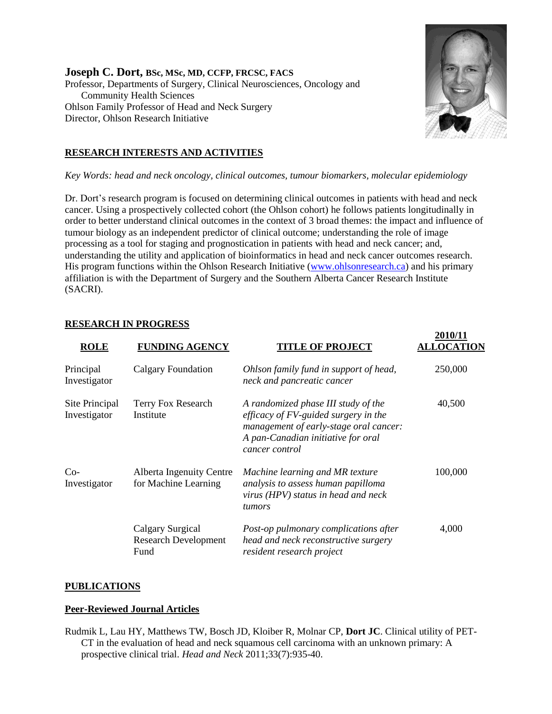**Joseph C. Dort, BSc, MSc, MD, CCFP, FRCSC, FACS** Professor, Departments of Surgery, Clinical Neurosciences, Oncology and Community Health Sciences Ohlson Family Professor of Head and Neck Surgery Director, Ohlson Research Initiative



**2010/11** 

## **RESEARCH INTERESTS AND ACTIVITIES**

*Key Words: head and neck oncology, clinical outcomes, tumour biomarkers, molecular epidemiology*

Dr. Dort's research program is focused on determining clinical outcomes in patients with head and neck cancer. Using a prospectively collected cohort (the Ohlson cohort) he follows patients longitudinally in order to better understand clinical outcomes in the context of 3 broad themes: the impact and influence of tumour biology as an independent predictor of clinical outcome; understanding the role of image processing as a tool for staging and prognostication in patients with head and neck cancer; and, understanding the utility and application of bioinformatics in head and neck cancer outcomes research. His program functions within the Ohlson Research Initiative [\(www.ohlsonresearch.ca\)](http://www.ohlsonresearch.ca/) and his primary affiliation is with the Department of Surgery and the Southern Alberta Cancer Research Institute (SACRI).

| <b>ROLE</b>                    | <b>FUNDING AGENCY</b>                                   | <b>TITLE OF PROJECT</b>                                                                                                                                                          | - <b>.</b><br><b>ALLOCATION</b> |
|--------------------------------|---------------------------------------------------------|----------------------------------------------------------------------------------------------------------------------------------------------------------------------------------|---------------------------------|
| Principal<br>Investigator      | <b>Calgary Foundation</b>                               | Ohlson family fund in support of head,<br>neck and pancreatic cancer                                                                                                             | 250,000                         |
| Site Principal<br>Investigator | Terry Fox Research<br>Institute                         | A randomized phase III study of the<br>efficacy of $FV$ -guided surgery in the<br>management of early-stage oral cancer:<br>A pan-Canadian initiative for oral<br>cancer control | 40,500                          |
| $Co-$<br>Investigator          | <b>Alberta Ingenuity Centre</b><br>for Machine Learning | Machine learning and MR texture<br>analysis to assess human papilloma<br>virus (HPV) status in head and neck<br>tumors                                                           | 100,000                         |
|                                | Calgary Surgical<br><b>Research Development</b><br>Fund | Post-op pulmonary complications after<br>head and neck reconstructive surgery<br>resident research project                                                                       | 4,000                           |

### **RESEARCH IN PROGRESS**

#### **PUBLICATIONS**

#### **Peer-Reviewed Journal Articles**

Rudmik L, Lau HY, Matthews TW, Bosch JD, Kloiber R, Molnar CP, **Dort JC**. Clinical utility of PET-CT in the evaluation of head and neck squamous cell carcinoma with an unknown primary: A prospective clinical trial. *Head and Neck* 2011;33(7):935-40.